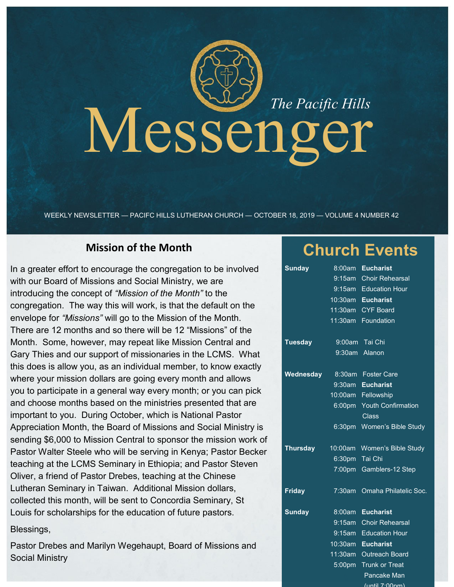# Messenger *The Pacific Hills*

WEEKLY NEWSLETTER — PACIFC HILLS LUTHERAN CHURCH — OCTOBER 18, 2019 — VOLUME 4 NUMBER 42

# **Mission of the Month**

In a greater effort to encourage the congregation to be involved with our Board of Missions and Social Ministry, we are introducing the concept of *"Mission of the Month"* to the congregation. The way this will work, is that the default on the envelope for *"Missions"* will go to the Mission of the Month. There are 12 months and so there will be 12 "Missions" of the Month. Some, however, may repeat like Mission Central and Gary Thies and our support of missionaries in the LCMS. What this does is allow you, as an individual member, to know exactly where your mission dollars are going every month and allows you to participate in a general way every month; or you can pick and choose months based on the ministries presented that are important to you. During October, which is National Pastor Appreciation Month, the Board of Missions and Social Ministry is sending \$6,000 to Mission Central to sponsor the mission work of Pastor Walter Steele who will be serving in Kenya; Pastor Becker teaching at the LCMS Seminary in Ethiopia; and Pastor Steven Oliver, a friend of Pastor Drebes, teaching at the Chinese Lutheran Seminary in Taiwan. Additional Mission dollars, collected this month, will be sent to Concordia Seminary, St Louis for scholarships for the education of future pastors.

### Blessings,

Pastor Drebes and Marilyn Wegehaupt, Board of Missions and Social Ministry

# **Church Events**

| <b>Sunday</b>   | 8:00am    | <b>Eucharist</b>          |
|-----------------|-----------|---------------------------|
|                 | 9:15am    | <b>Choir Rehearsal</b>    |
|                 | 9:15am    | <b>Education Hour</b>     |
|                 | 10:30am   | <b>Eucharist</b>          |
|                 | 11:30am   | <b>CYF Board</b>          |
|                 | 11:30am   | Foundation                |
| <b>Tuesday</b>  |           | 9:00am Tai Chi            |
|                 |           | 9:30am Alanon             |
| Wednesday       | 8:30am    | <b>Foster Care</b>        |
|                 | 9:30am    | <b>Eucharist</b>          |
|                 | 10:00am   | Fellowship                |
|                 | 6:00pm    | <b>Youth Confirmation</b> |
|                 |           | Class                     |
|                 | 6:30pm    | Women's Bible Study       |
| <b>Thursday</b> | 10:00am   | Women's Bible Study       |
|                 | 6:30pm    | Tai Chi                   |
|                 |           | 7:00pm Gamblers-12 Step   |
| <b>Friday</b>   | 7:30am    | Omaha Philatelic Soc.     |
| <b>Sunday</b>   | 8:00am    | <b>Eucharist</b>          |
|                 | $9:15$ am | <b>Choir Rehearsal</b>    |
|                 | 9:15am    | <b>Education Hour</b>     |
|                 | 10:30am   | <b>Eucharist</b>          |
|                 | 11:30am   | <b>Outreach Board</b>     |
|                 | 5:00pm    | <b>Trunk or Treat</b>     |
|                 |           | Pancake Man               |

(until 7:00pm)